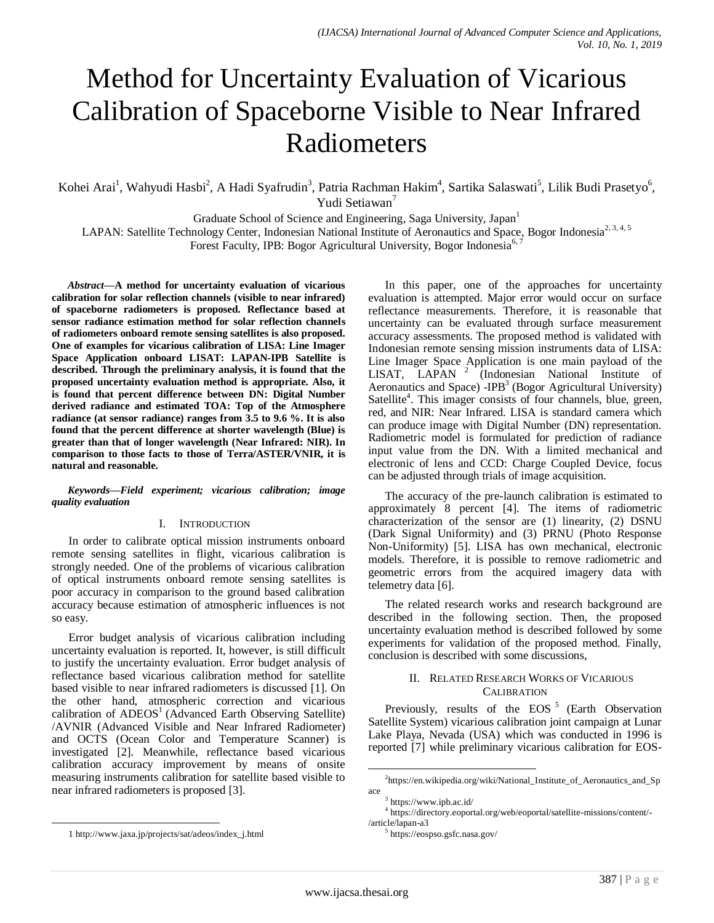# Method for Uncertainty Evaluation of Vicarious Calibration of Spaceborne Visible to Near Infrared Radiometers

Kohei Arai<sup>1</sup>, Wahyudi Hasbi<sup>2</sup>, A Hadi Syafrudin<sup>3</sup>, Patria Rachman Hakim<sup>4</sup>, Sartika Salaswati<sup>5</sup>, Lilik Budi Prasetyo<sup>6</sup>, Yudi Setiawan<sup>7</sup>

Graduate School of Science and Engineering, Saga University, Japan<sup>1</sup>

LAPAN: Satellite Technology Center, Indonesian National Institute of Aeronautics and Space, Bogor Indonesia<sup>2, 3, 4, 5</sup>

Forest Faculty, IPB: Bogor Agricultural University, Bogor Indonesia<sup>6, 7</sup>

*Abstract***—A method for uncertainty evaluation of vicarious calibration for solar reflection channels (visible to near infrared) of spaceborne radiometers is proposed. Reflectance based at sensor radiance estimation method for solar reflection channels of radiometers onboard remote sensing satellites is also proposed. One of examples for vicarious calibration of LISA: Line Imager Space Application onboard LISAT: LAPAN-IPB Satellite is described. Through the preliminary analysis, it is found that the proposed uncertainty evaluation method is appropriate. Also, it is found that percent difference between DN: Digital Number derived radiance and estimated TOA: Top of the Atmosphere radiance (at sensor radiance) ranges from 3.5 to 9.6 %. It is also found that the percent difference at shorter wavelength (Blue) is greater than that of longer wavelength (Near Infrared: NIR). In comparison to those facts to those of Terra/ASTER/VNIR, it is natural and reasonable.**

*Keywords—Field experiment; vicarious calibration; image quality evaluation*

## I. INTRODUCTION

In order to calibrate optical mission instruments onboard remote sensing satellites in flight, vicarious calibration is strongly needed. One of the problems of vicarious calibration of optical instruments onboard remote sensing satellites is poor accuracy in comparison to the ground based calibration accuracy because estimation of atmospheric influences is not so easy.

Error budget analysis of vicarious calibration including uncertainty evaluation is reported. It, however, is still difficult to justify the uncertainty evaluation. Error budget analysis of reflectance based vicarious calibration method for satellite based visible to near infrared radiometers is discussed [1]. On the other hand, atmospheric correction and vicarious calibration of ADEOS<sup>1</sup> (Advanced Earth Observing Satellite) /AVNIR (Advanced Visible and Near Infrared Radiometer) and OCTS (Ocean Color and Temperature Scanner) is investigated [2]. Meanwhile, reflectance based vicarious calibration accuracy improvement by means of onsite measuring instruments calibration for satellite based visible to near infrared radiometers is proposed [3].

In this paper, one of the approaches for uncertainty evaluation is attempted. Major error would occur on surface reflectance measurements. Therefore, it is reasonable that uncertainty can be evaluated through surface measurement accuracy assessments. The proposed method is validated with Indonesian remote sensing mission instruments data of LISA: Line Imager Space Application is one main payload of the LISAT, LAPAN<sup>2</sup> (Indonesian National Institute of Aeronautics and Space)  $-IPB<sup>3</sup>$  (Bogor Agricultural University) Satellite<sup>4</sup>. This imager consists of four channels, blue, green, red, and NIR: Near Infrared. LISA is standard camera which can produce image with Digital Number (DN) representation. Radiometric model is formulated for prediction of radiance input value from the DN. With a limited mechanical and electronic of lens and CCD: Charge Coupled Device, focus can be adjusted through trials of image acquisition.

The accuracy of the pre-launch calibration is estimated to approximately 8 percent [4]. The items of radiometric characterization of the sensor are (1) linearity, (2) DSNU (Dark Signal Uniformity) and (3) PRNU (Photo Response Non-Uniformity) [5]. LISA has own mechanical, electronic models. Therefore, it is possible to remove radiometric and geometric errors from the acquired imagery data with telemetry data [6].

The related research works and research background are described in the following section. Then, the proposed uncertainty evaluation method is described followed by some experiments for validation of the proposed method. Finally, conclusion is described with some discussions,

## II. RELATED RESEARCH WORKS OF VICARIOUS **CALIBRATION**

Previously, results of the EOS<sup>5</sup> (Earth Observation Satellite System) vicarious calibration joint campaign at Lunar Lake Playa, Nevada (USA) which was conducted in 1996 is reported [7] while preliminary vicarious calibration for EOS-

l

l

<sup>&</sup>lt;sup>2</sup>https://en.wikipedia.org/wiki/National\_Institute\_of\_Aeronautics\_and\_Sp ace

<sup>&</sup>lt;sup>3</sup> https://www.ipb.ac.id/

<sup>4</sup> https://directory.eoportal.org/web/eoportal/satellite-missions/content/- /article/lapan-a3

<sup>5</sup> https://eospso.gsfc.nasa.gov/

<sup>1</sup> http://www.jaxa.jp/projects/sat/adeos/index\_j.html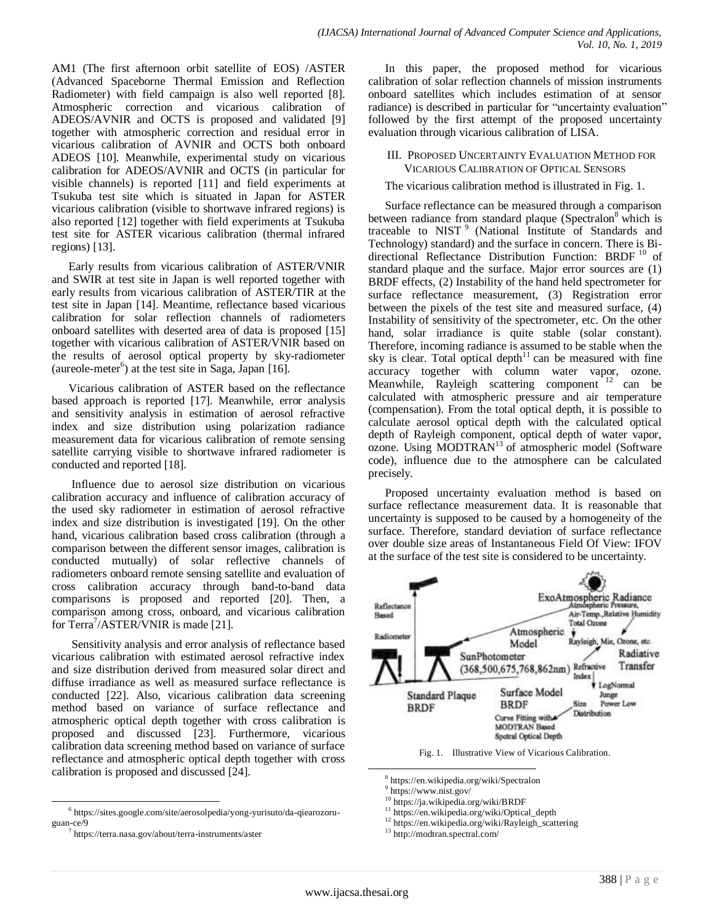AM1 (The first afternoon orbit satellite of EOS) /ASTER (Advanced Spaceborne Thermal Emission and Reflection Radiometer) with field campaign is also well reported [8]. Atmospheric correction and vicarious calibration of ADEOS/AVNIR and OCTS is proposed and validated [9] together with atmospheric correction and residual error in vicarious calibration of AVNIR and OCTS both onboard ADEOS [10]. Meanwhile, experimental study on vicarious calibration for ADEOS/AVNIR and OCTS (in particular for visible channels) is reported [11] and field experiments at Tsukuba test site which is situated in Japan for ASTER vicarious calibration (visible to shortwave infrared regions) is also reported [12] together with field experiments at Tsukuba test site for ASTER vicarious calibration (thermal infrared regions) [13].

Early results from vicarious calibration of ASTER/VNIR and SWIR at test site in Japan is well reported together with early results from vicarious calibration of ASTER/TIR at the test site in Japan [14]. Meantime, reflectance based vicarious calibration for solar reflection channels of radiometers onboard satellites with deserted area of data is proposed [15] together with vicarious calibration of ASTER/VNIR based on the results of aerosol optical property by sky-radiometer (aureole-meter<sup>6</sup>) at the test site in Saga, Japan [16].

Vicarious calibration of ASTER based on the reflectance based approach is reported [17]. Meanwhile, error analysis and sensitivity analysis in estimation of aerosol refractive index and size distribution using polarization radiance measurement data for vicarious calibration of remote sensing satellite carrying visible to shortwave infrared radiometer is conducted and reported [18].

Influence due to aerosol size distribution on vicarious calibration accuracy and influence of calibration accuracy of the used sky radiometer in estimation of aerosol refractive index and size distribution is investigated [19]. On the other hand, vicarious calibration based cross calibration (through a comparison between the different sensor images, calibration is conducted mutually) of solar reflective channels of radiometers onboard remote sensing satellite and evaluation of cross calibration accuracy through band-to-band data comparisons is proposed and reported [20]. Then, a comparison among cross, onboard, and vicarious calibration for Terra<sup>7</sup>/ASTER/VNIR is made [21].

Sensitivity analysis and error analysis of reflectance based vicarious calibration with estimated aerosol refractive index and size distribution derived from measured solar direct and diffuse irradiance as well as measured surface reflectance is conducted [22]. Also, vicarious calibration data screening method based on variance of surface reflectance and atmospheric optical depth together with cross calibration is proposed and discussed [23]. Furthermore, vicarious calibration data screening method based on variance of surface reflectance and atmospheric optical depth together with cross calibration is proposed and discussed [24].

-

In this paper, the proposed method for vicarious calibration of solar reflection channels of mission instruments onboard satellites which includes estimation of at sensor radiance) is described in particular for "uncertainty evaluation" followed by the first attempt of the proposed uncertainty evaluation through vicarious calibration of LISA.

#### III. PROPOSED UNCERTAINTY EVALUATION METHOD FOR VICARIOUS CALIBRATION OF OPTICAL SENSORS

## The vicarious calibration method is illustrated in Fig. 1.

Surface reflectance can be measured through a comparison between radiance from standard plaque (Spectralon<sup>8</sup> which is traceable to NIST<sup>9</sup> (National Institute of Standards and Technology) standard) and the surface in concern. There is Bidirectional Reflectance Distribution Function: BRDF<sup>10</sup> of standard plaque and the surface. Major error sources are (1) BRDF effects, (2) Instability of the hand held spectrometer for surface reflectance measurement, (3) Registration error between the pixels of the test site and measured surface, (4) Instability of sensitivity of the spectrometer, etc. On the other hand, solar irradiance is quite stable (solar constant). Therefore, incoming radiance is assumed to be stable when the sky is clear. Total optical depth $11$  can be measured with fine accuracy together with column water vapor, ozone. Meanwhile, Rayleigh scattering component  $12$  can be calculated with atmospheric pressure and air temperature (compensation). From the total optical depth, it is possible to calculate aerosol optical depth with the calculated optical depth of Rayleigh component, optical depth of water vapor, ozone. Using MODTRAN<sup>13</sup> of atmospheric model (Software code), influence due to the atmosphere can be calculated precisely.

Proposed uncertainty evaluation method is based on surface reflectance measurement data. It is reasonable that uncertainty is supposed to be caused by a homogeneity of the surface. Therefore, standard deviation of surface reflectance over double size areas of Instantaneous Field Of View: IFOV at the surface of the test site is considered to be uncertainty.



Fig. 1. Illustrative View of Vicarious Calibration.

<sup>10</sup> https://ja.wikipedia.org/wiki/BRDF

l

<sup>6</sup> https://sites.google.com/site/aerosolpedia/yong-yurisuto/da-qiearozoruguan-ce/9

<sup>7</sup> https://terra.nasa.gov/about/terra-instruments/aster

<sup>8</sup> https://en.wikipedia.org/wiki/Spectralon

<sup>9</sup> https://www.nist.gov/

<sup>11</sup> https://en.wikipedia.org/wiki/Optical\_depth

<sup>12</sup> https://en.wikipedia.org/wiki/Rayleigh\_scattering

<sup>13</sup> http://modtran.spectral.com/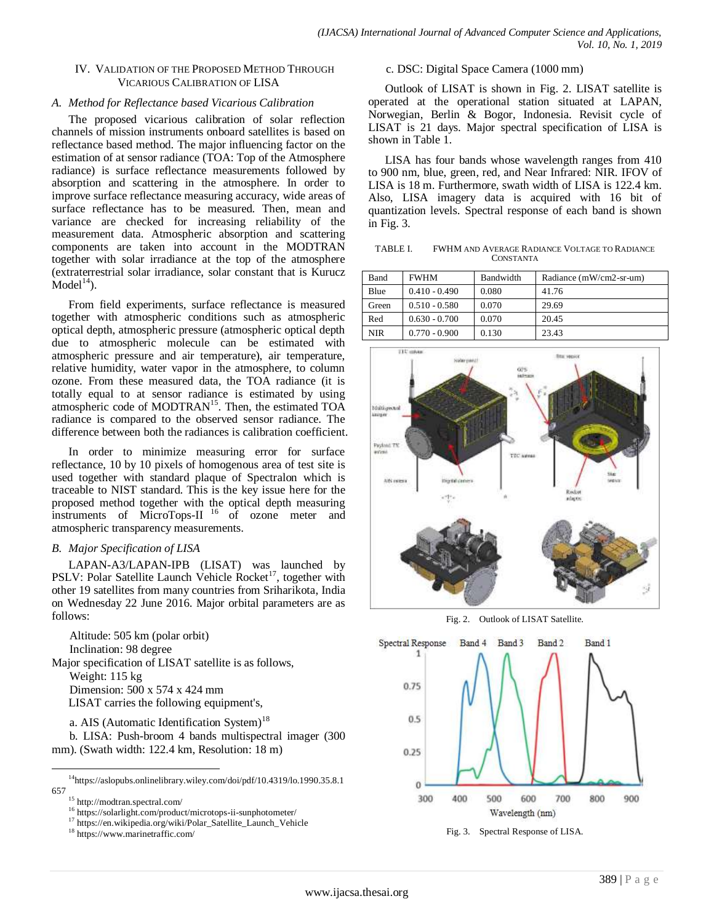## IV. VALIDATION OF THE PROPOSED METHOD THROUGH VICARIOUS CALIBRATION OF LISA

## *A. Method for Reflectance based Vicarious Calibration*

The proposed vicarious calibration of solar reflection channels of mission instruments onboard satellites is based on reflectance based method. The major influencing factor on the estimation of at sensor radiance (TOA: Top of the Atmosphere radiance) is surface reflectance measurements followed by absorption and scattering in the atmosphere. In order to improve surface reflectance measuring accuracy, wide areas of surface reflectance has to be measured. Then, mean and variance are checked for increasing reliability of the measurement data. Atmospheric absorption and scattering components are taken into account in the MODTRAN together with solar irradiance at the top of the atmosphere (extraterrestrial solar irradiance, solar constant that is Kurucz  $Model<sup>14</sup>$ ).

From field experiments, surface reflectance is measured together with atmospheric conditions such as atmospheric optical depth, atmospheric pressure (atmospheric optical depth due to atmospheric molecule can be estimated with atmospheric pressure and air temperature), air temperature, relative humidity, water vapor in the atmosphere, to column ozone. From these measured data, the TOA radiance (it is totally equal to at sensor radiance is estimated by using atmospheric code of MODTRAN<sup>15</sup>. Then, the estimated TOA radiance is compared to the observed sensor radiance. The difference between both the radiances is calibration coefficient.

In order to minimize measuring error for surface reflectance, 10 by 10 pixels of homogenous area of test site is used together with standard plaque of Spectralon which is traceable to NIST standard. This is the key issue here for the proposed method together with the optical depth measuring instruments of MicroTops-II<sup>16</sup> of ozone meter and atmospheric transparency measurements.

# *B. Major Specification of LISA*

LAPAN-A3/LAPAN-IPB (LISAT) was launched by PSLV: Polar Satellite Launch Vehicle Rocket<sup>17</sup>, together with other 19 satellites from many countries from Sriharikota, India on Wednesday 22 June 2016. Major orbital parameters are as follows:

Altitude: 505 km (polar orbit) Inclination: 98 degree Major specification of LISAT satellite is as follows, Weight: 115 kg Dimension: 500 x 574 x 424 mm LISAT carries the following equipment's,

a. AIS (Automatic Identification System)<sup>18</sup>

b. LISA: Push-broom 4 bands multispectral imager (300 mm). (Swath width: 122.4 km, Resolution: 18 m)

l

c. DSC: Digital Space Camera (1000 mm)

Outlook of LISAT is shown in Fig. 2. LISAT satellite is operated at the operational station situated at LAPAN, Norwegian, Berlin & Bogor, Indonesia. Revisit cycle of LISAT is 21 days. Major spectral specification of LISA is shown in Table 1.

LISA has four bands whose wavelength ranges from 410 to 900 nm, blue, green, red, and Near Infrared: NIR. IFOV of LISA is 18 m. Furthermore, swath width of LISA is 122.4 km. Also, LISA imagery data is acquired with 16 bit of quantization levels. Spectral response of each band is shown in Fig. 3.

TABLE I. FWHM AND AVERAGE RADIANCE VOLTAGE TO RADIANCE **CONSTANTA** 

| Band       | <b>FWHM</b>     | Bandwidth | Radiance (mW/cm2-sr-um) |
|------------|-----------------|-----------|-------------------------|
| Blue       | $0.410 - 0.490$ | 0.080     | 41.76                   |
| Green      | $0.510 - 0.580$ | 0.070     | 29.69                   |
| Red        | $0.630 - 0.700$ | 0.070     | 20.45                   |
| <b>NIR</b> | $0.770 - 0.900$ | 0.130     | 23.43                   |



Fig. 2. Outlook of LISAT Satellite.



Fig. 3. Spectral Response of LISA.

 $14$ https://aslopubs.onlinelibrary.wiley.com/doi/pdf/10.4319/lo.1990.35.8.1 657

 $^{15}$ http://modtran.spectral.com/

<sup>&</sup>lt;sup>16</sup> https://solarlight.com/product/microtops-ii-sunphotometer/

<sup>&</sup>lt;sup>17</sup> https://en.wikipedia.org/wiki/Polar\_Satellite\_Launch\_Vehicle

<sup>18</sup> https://www.marinetraffic.com/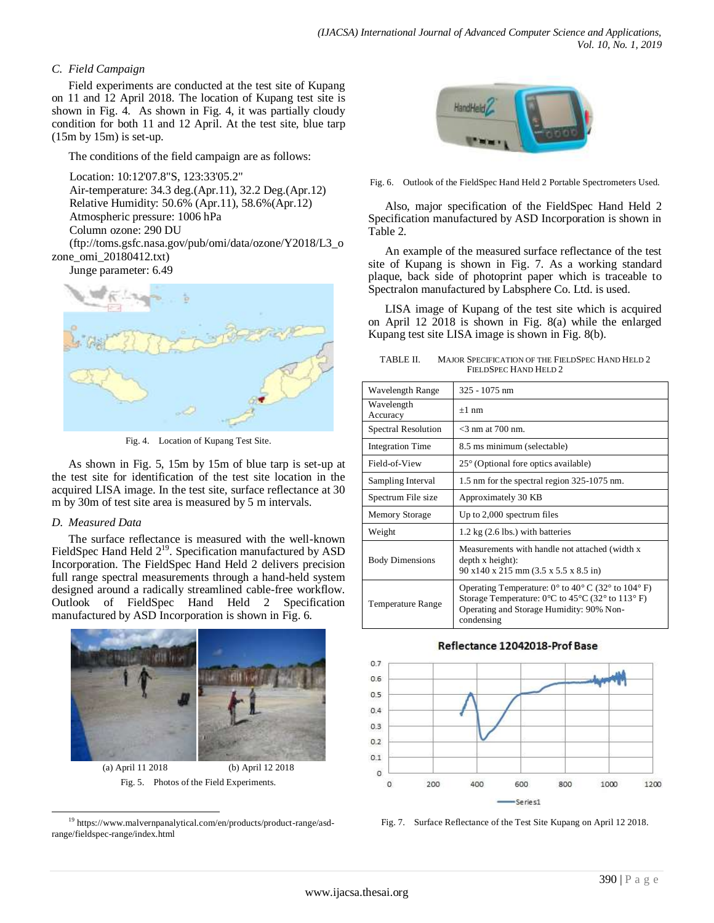# *C. Field Campaign*

Field experiments are conducted at the test site of Kupang on 11 and 12 April 2018. The location of Kupang test site is shown in Fig. 4. As shown in Fig. 4, it was partially cloudy condition for both 11 and 12 April. At the test site, blue tarp (15m by 15m) is set-up.

The conditions of the field campaign are as follows:

Location: 10:12'07.8"S, 123:33'05.2"

Air-temperature: 34.3 deg.(Apr.11), 32.2 Deg.(Apr.12) Relative Humidity: 50.6% (Apr.11), 58.6%(Apr.12) Atmospheric pressure: 1006 hPa Column ozone: 290 DU (ftp://toms.gsfc.nasa.gov/pub/omi/data/ozone/Y2018/L3\_o

zone\_omi\_20180412.txt)

Junge parameter: 6.49



Fig. 4. Location of Kupang Test Site.

As shown in Fig. 5, 15m by 15m of blue tarp is set-up at the test site for identification of the test site location in the acquired LISA image. In the test site, surface reflectance at 30 m by 30m of test site area is measured by 5 m intervals.

## *D. Measured Data*

The surface reflectance is measured with the well-known FieldSpec Hand Held  $2^{19}$ . Specification manufactured by ASD Incorporation. The FieldSpec Hand Held 2 delivers precision full range spectral measurements through a hand-held system designed around a radically streamlined cable-free workflow. Outlook of FieldSpec Hand Held 2 Specification manufactured by ASD Incorporation is shown in Fig. 6.



(a) April 11 2018 (b) April 12 2018 Fig. 5. Photos of the Field Experiments.



Fig. 6. Outlook of the FieldSpec Hand Held 2 Portable Spectrometers Used.

Also, major specification of the FieldSpec Hand Held 2 Specification manufactured by ASD Incorporation is shown in Table 2.

An example of the measured surface reflectance of the test site of Kupang is shown in Fig. 7. As a working standard plaque, back side of photoprint paper which is traceable to Spectralon manufactured by Labsphere Co. Ltd. is used.

LISA image of Kupang of the test site which is acquired on April 12 2018 is shown in Fig. 8(a) while the enlarged Kupang test site LISA image is shown in Fig. 8(b).

TABLE II. MAJOR SPECIFICATION OF THE FIELDSPEC HAND HELD 2 FIELDSPEC HAND HELD 2

| Wavelength Range           | $325 - 1075$ nm                                                                                                                                                                                                                     |  |  |  |
|----------------------------|-------------------------------------------------------------------------------------------------------------------------------------------------------------------------------------------------------------------------------------|--|--|--|
| Wavelength<br>Accuracy     | $+1$ nm                                                                                                                                                                                                                             |  |  |  |
| <b>Spectral Resolution</b> | $<$ 3 nm at 700 nm.                                                                                                                                                                                                                 |  |  |  |
| <b>Integration Time</b>    | 8.5 ms minimum (selectable)                                                                                                                                                                                                         |  |  |  |
| Field-of-View              | 25° (Optional fore optics available)                                                                                                                                                                                                |  |  |  |
| Sampling Interval          | 1.5 nm for the spectral region 325-1075 nm.                                                                                                                                                                                         |  |  |  |
| Spectrum File size         | Approximately 30 KB                                                                                                                                                                                                                 |  |  |  |
| <b>Memory Storage</b>      | Up to $2,000$ spectrum files                                                                                                                                                                                                        |  |  |  |
| Weight                     | 1.2 kg $(2.6$ lbs.) with batteries                                                                                                                                                                                                  |  |  |  |
| <b>Body Dimensions</b>     | Measurements with handle not attached (width x)<br>$depth x height)$ :<br>$90 \times 140 \times 215$ mm $(3.5 \times 5.5 \times 8.5)$ in                                                                                            |  |  |  |
| <b>Temperature Range</b>   | Operating Temperature: $0^{\circ}$ to $40^{\circ}$ C (32° to $104^{\circ}$ F)<br>Storage Temperature: $0^{\circ}$ C to $45^{\circ}$ C (32 $^{\circ}$ to 113 $^{\circ}$ F)<br>Operating and Storage Humidity: 90% Non-<br>condensing |  |  |  |

## Reflectance 12042018-Prof Base



Fig. 7. Surface Reflectance of the Test Site Kupang on April 12 2018.

l <sup>19</sup> https://www.malvernpanalytical.com/en/products/product-range/asdrange/fieldspec-range/index.html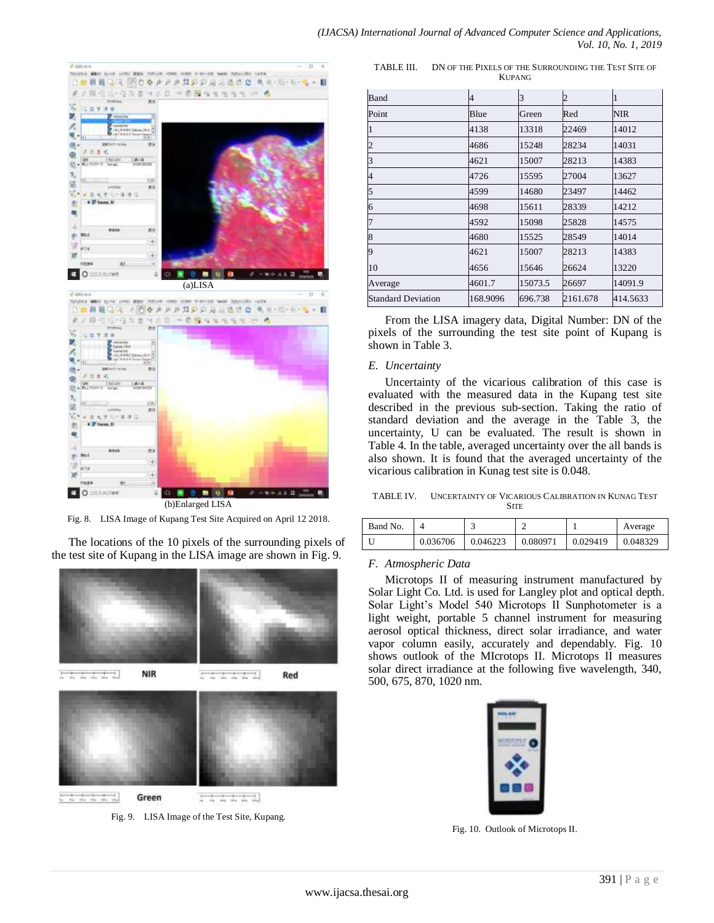

Fig. 8. LISA Image of Kupang Test Site Acquired on April 12 2018.

The locations of the 10 pixels of the surrounding pixels of the test site of Kupang in the LISA image are shown in Fig. 9.



Fig. 9. LISA Image of the Test Site, Kupang.

TABLE III. DN OF THE PIXELS OF THE SURROUNDING THE TEST SITE OF KUPANG

| Band                      | 4        | 3       | 2        |          |
|---------------------------|----------|---------|----------|----------|
| Point                     | Blue     | Green   | Red      | NIR      |
|                           | 4138     | 13318   | 22469    | 14012    |
|                           | 4686     | 15248   | 28234    | 14031    |
| 3                         | 4621     | 15007   | 28213    | 14383    |
| 4                         | 4726     | 15595   | 27004    | 13627    |
| 5                         | 4599     | 14680   | 23497    | 14462    |
| 6                         | 4698     | 15611   | 28339    | 14212    |
|                           | 4592     | 15098   | 25828    | 14575    |
| 8                         | 4680     | 15525   | 28549    | 14014    |
| 9                         | 4621     | 15007   | 28213    | 14383    |
| 10                        | 4656     | 15646   | 26624    | 13220    |
| Average                   | 4601.7   | 15073.5 | 26697    | 14091.9  |
| <b>Standard Deviation</b> | 168.9096 | 696.738 | 2161.678 | 414.5633 |

From the LISA imagery data, Digital Number: DN of the pixels of the surrounding the test site point of Kupang is shown in Table 3.

## *E. Uncertainty*

Uncertainty of the vicarious calibration of this case is evaluated with the measured data in the Kupang test site described in the previous sub-section. Taking the ratio of standard deviation and the average in the Table 3, the uncertainty, U can be evaluated. The result is shown in Table 4. In the table, averaged uncertainty over the all bands is also shown. It is found that the averaged uncertainty of the vicarious calibration in Kunag test site is 0.048.

TABLE IV. UNCERTAINTY OF VICARIOUS CALIBRATION IN KUNAG TEST **SITE** 

| Band No. |          |          |          |          | Average  |
|----------|----------|----------|----------|----------|----------|
|          | 0.036706 | 0.046223 | 0.080971 | 0.029419 | 0.048329 |

## *F. Atmospheric Data*

Microtops II of measuring instrument manufactured by Solar Light Co. Ltd. is used for Langley plot and optical depth. Solar Light's Model 540 Microtops II Sunphotometer is a light weight, portable 5 channel instrument for measuring aerosol optical thickness, direct solar irradiance, and water vapor column easily, accurately and dependably. Fig. 10 shows outlook of the MIcrotops II. Microtops II measures solar direct irradiance at the following five wavelength, 340, 500, 675, 870, 1020 nm.



Fig. 10. Outlook of Microtops II.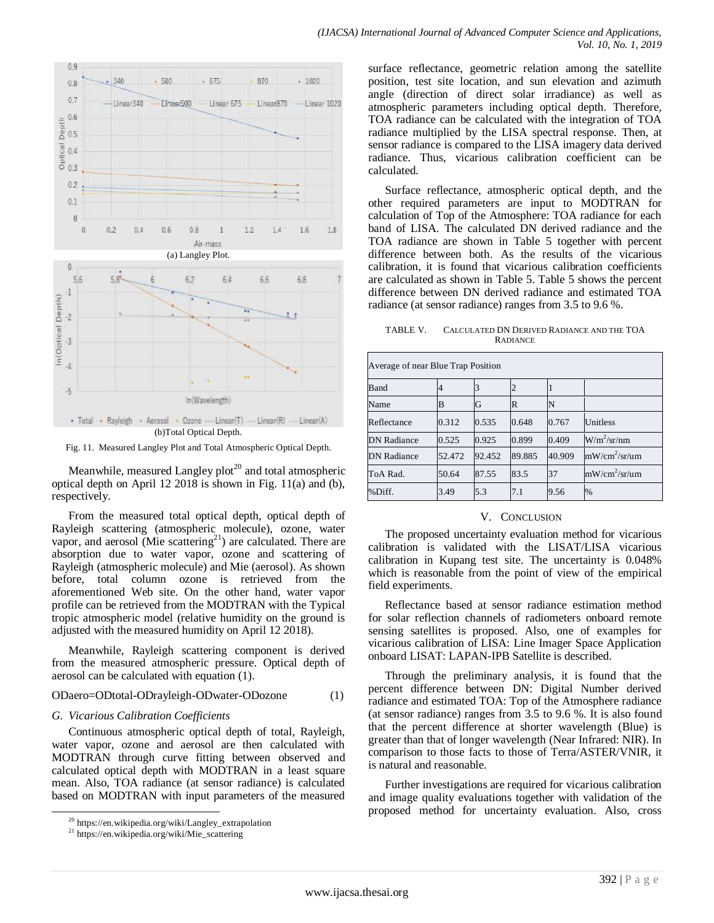

Fig. 11. Measured Langley Plot and Total Atmospheric Optical Depth.

Meanwhile, measured Langley plot<sup>20</sup> and total atmospheric optical depth on April 12 2018 is shown in Fig. 11(a) and (b), respectively.

From the measured total optical depth, optical depth of Rayleigh scattering (atmospheric molecule), ozone, water vapor, and aerosol (Mie scattering $^{21}$ ) are calculated. There are absorption due to water vapor, ozone and scattering of Rayleigh (atmospheric molecule) and Mie (aerosol). As shown before, total column ozone is retrieved from the aforementioned Web site. On the other hand, water vapor profile can be retrieved from the MODTRAN with the Typical tropic atmospheric model (relative humidity on the ground is adjusted with the measured humidity on April 12 2018).

Meanwhile, Rayleigh scattering component is derived from the measured atmospheric pressure. Optical depth of aerosol can be calculated with equation (1).

## ODaero=ODtotal-ODrayleigh-ODwater-ODozone (1)

#### *G. Vicarious Calibration Coefficients*

Continuous atmospheric optical depth of total, Rayleigh, water vapor, ozone and aerosol are then calculated with MODTRAN through curve fitting between observed and calculated optical depth with MODTRAN in a least square mean. Also, TOA radiance (at sensor radiance) is calculated based on MODTRAN with input parameters of the measured

l

surface reflectance, geometric relation among the satellite position, test site location, and sun elevation and azimuth angle (direction of direct solar irradiance) as well as atmospheric parameters including optical depth. Therefore, TOA radiance can be calculated with the integration of TOA radiance multiplied by the LISA spectral response. Then, at sensor radiance is compared to the LISA imagery data derived radiance. Thus, vicarious calibration coefficient can be calculated.

Surface reflectance, atmospheric optical depth, and the other required parameters are input to MODTRAN for calculation of Top of the Atmosphere: TOA radiance for each band of LISA. The calculated DN derived radiance and the TOA radiance are shown in Table 5 together with percent difference between both. As the results of the vicarious calibration, it is found that vicarious calibration coefficients are calculated as shown in Table 5. Table 5 shows the percent difference between DN derived radiance and estimated TOA radiance (at sensor radiance) ranges from 3.5 to 9.6 %.

TABLE V. CALCULATED DN DERIVED RADIANCE AND THE TOA RADIANCE

| Average of near Blue Trap Position |        |        |        |        |                 |  |
|------------------------------------|--------|--------|--------|--------|-----------------|--|
| Band                               |        |        |        |        |                 |  |
| Name                               | в      | G      | R      | N      |                 |  |
| Reflectance                        | 0.312  | 0.535  | 0.648  | 0.767  | Unitless        |  |
| <b>DN</b> Radiance                 | 0.525  | 0.925  | 0.899  | 0.409  | $W/m^2/sr/nm$   |  |
| <b>DN</b> Radiance                 | 52.472 | 92.452 | 89.885 | 40.909 | $mW/cm^2/sr/um$ |  |
| ToA Rad.                           | 50.64  | 87.55  | 83.5   | 37     | $mW/cm^2/sr/um$ |  |
| %Diff.                             | 3.49   | 5.3    | 7.1    | 9.56   | $\%$            |  |

#### V. CONCLUSION

The proposed uncertainty evaluation method for vicarious calibration is validated with the LISAT/LISA vicarious calibration in Kupang test site. The uncertainty is 0.048% which is reasonable from the point of view of the empirical field experiments.

Reflectance based at sensor radiance estimation method for solar reflection channels of radiometers onboard remote sensing satellites is proposed. Also, one of examples for vicarious calibration of LISA: Line Imager Space Application onboard LISAT: LAPAN-IPB Satellite is described.

Through the preliminary analysis, it is found that the percent difference between DN: Digital Number derived radiance and estimated TOA: Top of the Atmosphere radiance (at sensor radiance) ranges from 3.5 to 9.6 %. It is also found that the percent difference at shorter wavelength (Blue) is greater than that of longer wavelength (Near Infrared: NIR). In comparison to those facts to those of Terra/ASTER/VNIR, it is natural and reasonable.

Further investigations are required for vicarious calibration and image quality evaluations together with validation of the proposed method for uncertainty evaluation. Also, cross

<sup>20</sup> https://en.wikipedia.org/wiki/Langley\_extrapolation

<sup>21</sup> https://en.wikipedia.org/wiki/Mie\_scattering